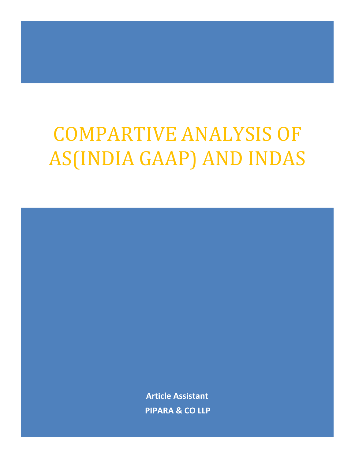# COMPARTIVE ANALYSIS OF AS(INDIA GAAP) AND INDAS

Article Assistant PIPARA & CO LLP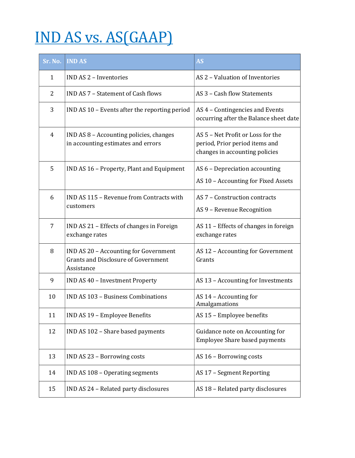# IND AS vs. AS(GAAP)

| Sr. No.        | <b>IND AS</b>                                                                                     | <b>AS</b>                                                                                             |
|----------------|---------------------------------------------------------------------------------------------------|-------------------------------------------------------------------------------------------------------|
| 1              | <b>IND AS 2 - Inventories</b>                                                                     | AS 2 - Valuation of Inventories                                                                       |
| $\overline{2}$ | IND AS 7 - Statement of Cash flows                                                                | AS 3 - Cash flow Statements                                                                           |
| 3              | IND AS 10 - Events after the reporting period                                                     | AS 4 - Contingencies and Events<br>occurring after the Balance sheet date                             |
| 4              | IND AS 8 - Accounting policies, changes<br>in accounting estimates and errors                     | AS 5 - Net Profit or Loss for the<br>period, Prior period items and<br>changes in accounting policies |
| 5              | IND AS 16 - Property, Plant and Equipment                                                         | AS 6 - Depreciation accounting<br>AS 10 - Accounting for Fixed Assets                                 |
| 6              | IND AS 115 - Revenue from Contracts with<br>customers                                             | AS 7 - Construction contracts<br>AS 9 - Revenue Recognition                                           |
| 7              | IND AS 21 - Effects of changes in Foreign<br>exchange rates                                       | AS 11 - Effects of changes in foreign<br>exchange rates                                               |
| 8              | IND AS 20 - Accounting for Government<br><b>Grants and Disclosure of Government</b><br>Assistance | AS 12 - Accounting for Government<br>Grants                                                           |
| 9              | IND AS 40 - Investment Property                                                                   | AS 13 - Accounting for Investments                                                                    |
| 10             | <b>IND AS 103 - Business Combinations</b>                                                         | AS 14 - Accounting for<br>Amalgamations                                                               |
| 11             | IND AS 19 - Employee Benefits                                                                     | AS 15 - Employee benefits                                                                             |
| 12             | IND AS 102 - Share based payments                                                                 | Guidance note on Accounting for<br><b>Employee Share based payments</b>                               |
| 13             | IND AS 23 - Borrowing costs                                                                       | AS 16 - Borrowing costs                                                                               |
| 14             | IND AS 108 - Operating segments                                                                   | AS 17 - Segment Reporting                                                                             |
| 15             | IND AS 24 - Related party disclosures                                                             | AS 18 - Related party disclosures                                                                     |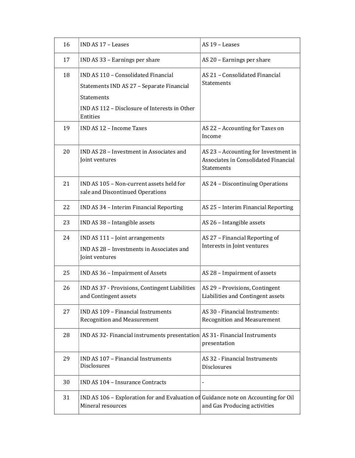| 16 | IND AS 17 - Leases                                                                                                                                                        | AS 19 - Leases                                                                                    |
|----|---------------------------------------------------------------------------------------------------------------------------------------------------------------------------|---------------------------------------------------------------------------------------------------|
| 17 | IND AS 33 - Earnings per share                                                                                                                                            | AS 20 - Earnings per share                                                                        |
| 18 | IND AS 110 - Consolidated Financial<br>Statements IND AS 27 - Separate Financial<br><b>Statements</b><br>IND AS 112 - Disclosure of Interests in Other<br><b>Entities</b> | AS 21 - Consolidated Financial<br><b>Statements</b>                                               |
| 19 | IND AS 12 - Income Taxes                                                                                                                                                  | AS 22 - Accounting for Taxes on<br>Income                                                         |
| 20 | IND AS 28 - Investment in Associates and<br>Joint ventures                                                                                                                | AS 23 - Accounting for Investment in<br>Associates in Consolidated Financial<br><b>Statements</b> |
| 21 | IND AS 105 - Non-current assets held for<br>sale and Discontinued Operations                                                                                              | AS 24 - Discontinuing Operations                                                                  |
| 22 | IND AS 34 - Interim Financial Reporting                                                                                                                                   | AS 25 - Interim Financial Reporting                                                               |
| 23 | IND AS 38 - Intangible assets                                                                                                                                             | AS 26 - Intangible assets                                                                         |
| 24 | IND AS 111 - Joint arrangements<br>IND AS 28 - Investments in Associates and<br>Joint ventures                                                                            | AS 27 - Financial Reporting of<br>Interests in Joint ventures                                     |
| 25 | IND AS 36 - Impairment of Assets                                                                                                                                          | AS 28 - Impairment of assets                                                                      |
| 26 | IND AS 37 - Provisions, Contingent Liabilities<br>and Contingent assets                                                                                                   | AS 29 - Provisions, Contingent<br>Liabilities and Contingent assets                               |
| 27 | IND AS 109 - Financial Instruments<br><b>Recognition and Measurement</b>                                                                                                  | AS 30 - Financial Instruments:<br><b>Recognition and Measurement</b>                              |
| 28 | IND AS 32- Financial instruments presentation AS 31- Financial Instruments                                                                                                | presentation                                                                                      |
| 29 | IND AS 107 - Financial Instruments<br>Disclosures                                                                                                                         | AS 32 - Financial Instruments<br>Disclosures                                                      |
| 30 | <b>IND AS 104 - Insurance Contracts</b>                                                                                                                                   |                                                                                                   |
| 31 | IND AS 106 – Exploration for and Evaluation of Guidance note on Accounting for Oil<br>Mineral resources                                                                   | and Gas Producing activities                                                                      |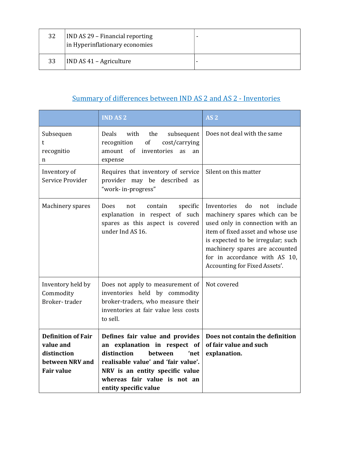| 32 | <b>IND AS 29 - Financial reporting</b><br>in Hyperinflationary economies |  |
|----|--------------------------------------------------------------------------|--|
| 33 | IND AS 41 – Agriculture                                                  |  |

# Summary of differences between IND AS 2 and AS 2 - Inventories

|                                                                                               | <b>IND AS 2</b>                                                                                                                                                                                                                      | AS <sub>2</sub>                                                                                                                                                                                                                                                                       |
|-----------------------------------------------------------------------------------------------|--------------------------------------------------------------------------------------------------------------------------------------------------------------------------------------------------------------------------------------|---------------------------------------------------------------------------------------------------------------------------------------------------------------------------------------------------------------------------------------------------------------------------------------|
| Subsequen<br>t<br>recognitio<br>n                                                             | Deals<br>with<br>the<br>subsequent<br>of<br>cost/carrying<br>recognition<br>amount of<br>inventories<br>as<br>an<br>expense                                                                                                          | Does not deal with the same                                                                                                                                                                                                                                                           |
| Inventory of<br>Service Provider                                                              | Requires that inventory of service<br>provider may be described as<br>"work-in-progress"                                                                                                                                             | Silent on this matter                                                                                                                                                                                                                                                                 |
| Machinery spares                                                                              | <b>Does</b><br>specific<br>not<br>contain<br>explanation in respect of such<br>spares as this aspect is covered<br>under Ind AS 16.                                                                                                  | do<br>include<br>Inventories<br>not<br>machinery spares which can be<br>used only in connection with an<br>item of fixed asset and whose use<br>is expected to be irregular; such<br>machinery spares are accounted<br>for in accordance with AS 10,<br>Accounting for Fixed Assets'. |
| Inventory held by<br>Commodity<br>Broker-trader                                               | Does not apply to measurement of<br>inventories held by commodity<br>broker-traders, who measure their<br>inventories at fair value less costs<br>to sell.                                                                           | Not covered                                                                                                                                                                                                                                                                           |
| <b>Definition of Fair</b><br>value and<br>distinction<br>between NRV and<br><b>Fair value</b> | Defines fair value and provides<br>an explanation in respect of<br>distinction<br>between<br>'net<br>realisable value' and 'fair value'.<br>NRV is an entity specific value<br>whereas fair value is not an<br>entity specific value | Does not contain the definition<br>of fair value and such<br>explanation.                                                                                                                                                                                                             |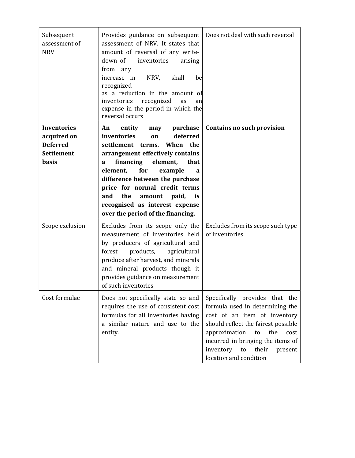| Subsequent<br>assessment of<br><b>NRV</b>                                          | Provides guidance on subsequent<br>assessment of NRV. It states that<br>amount of reversal of any write-<br>down of<br>inventories<br>arising<br>from any<br>NRV,<br>shall<br>increase in<br>be<br>recognized<br>as a reduction in the amount of<br>recognized<br>inventories<br>as<br>an<br>expense in the period in which the<br>reversal occurs                                            | Does not deal with such reversal                                                                                                                                                                                                                                                     |
|------------------------------------------------------------------------------------|-----------------------------------------------------------------------------------------------------------------------------------------------------------------------------------------------------------------------------------------------------------------------------------------------------------------------------------------------------------------------------------------------|--------------------------------------------------------------------------------------------------------------------------------------------------------------------------------------------------------------------------------------------------------------------------------------|
| <b>Inventories</b><br>acquired on<br><b>Deferred</b><br><b>Settlement</b><br>basis | purchase<br>An<br>entity<br>may<br>deferred<br>inventories<br>on<br>settlement terms. When the<br>arrangement effectively contains<br>financing<br>element,<br>that<br>a<br>for<br>element,<br>example<br>a<br>difference between the purchase<br>price for normal credit terms<br>the<br>and<br>amount<br>paid,<br>is<br>recognised as interest expense<br>over the period of the financing. | <b>Contains no such provision</b>                                                                                                                                                                                                                                                    |
| Scope exclusion                                                                    | Excludes from its scope only the<br>measurement of inventories held<br>by producers of agricultural and<br>forest<br>products,<br>agricultural<br>produce after harvest, and minerals<br>and mineral products though it<br>provides guidance on measurement<br>of such inventories                                                                                                            | Excludes from its scope such type<br>of inventories                                                                                                                                                                                                                                  |
| Cost formulae                                                                      | Does not specifically state so and<br>requires the use of consistent cost<br>formulas for all inventories having<br>a similar nature and use to the<br>entity.                                                                                                                                                                                                                                | Specifically provides that the<br>formula used in determining the<br>cost of an item of inventory<br>should reflect the fairest possible<br>approximation<br>the<br>to<br>cost<br>incurred in bringing the items of<br>inventory<br>to<br>their<br>present<br>location and condition |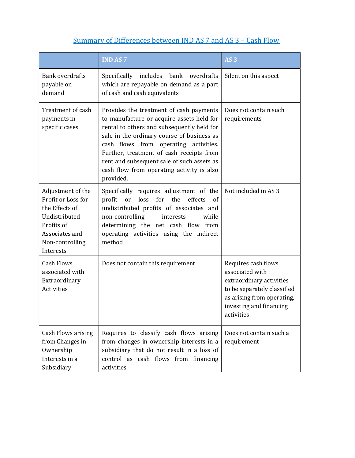### Summary of Differences between IND AS 7 and AS 3 – Cash Flow

|                                                                                                                                            | <b>IND AS 7</b>                                                                                                                                                                                                                                                                                                                                                               | AS <sub>3</sub>                                                                                                                                                          |
|--------------------------------------------------------------------------------------------------------------------------------------------|-------------------------------------------------------------------------------------------------------------------------------------------------------------------------------------------------------------------------------------------------------------------------------------------------------------------------------------------------------------------------------|--------------------------------------------------------------------------------------------------------------------------------------------------------------------------|
| <b>Bank overdrafts</b><br>payable on<br>demand                                                                                             | Specifically includes bank<br>overdrafts<br>which are repayable on demand as a part<br>of cash and cash equivalents                                                                                                                                                                                                                                                           | Silent on this aspect                                                                                                                                                    |
| Treatment of cash<br>payments in<br>specific cases                                                                                         | Provides the treatment of cash payments<br>to manufacture or acquire assets held for<br>rental to others and subsequently held for<br>sale in the ordinary course of business as<br>cash flows from operating activities.<br>Further, treatment of cash receipts from<br>rent and subsequent sale of such assets as<br>cash flow from operating activity is also<br>provided. | Does not contain such<br>requirements                                                                                                                                    |
| Adjustment of the<br>Profit or Loss for<br>the Effects of<br>Undistributed<br>Profits of<br>Associates and<br>Non-controlling<br>Interests | Specifically requires adjustment of the<br>profit<br>loss<br>for the<br>effects<br>or<br>of<br>undistributed profits of associates and<br>non-controlling<br>while<br>interests<br>determining the net cash flow from<br>operating activities using the indirect<br>method                                                                                                    | Not included in AS 3                                                                                                                                                     |
| <b>Cash Flows</b><br>associated with<br>Extraordinary<br>Activities                                                                        | Does not contain this requirement                                                                                                                                                                                                                                                                                                                                             | Requires cash flows<br>associated with<br>extraordinary activities<br>to be separately classified<br>as arising from operating,<br>investing and financing<br>activities |
| Cash Flows arising<br>from Changes in<br>Ownership<br>Interests in a<br>Subsidiary                                                         | Requires to classify cash flows arising<br>from changes in ownership interests in a<br>subsidiary that do not result in a loss of<br>control as cash flows from financing<br>activities                                                                                                                                                                                       | Does not contain such a<br>requirement                                                                                                                                   |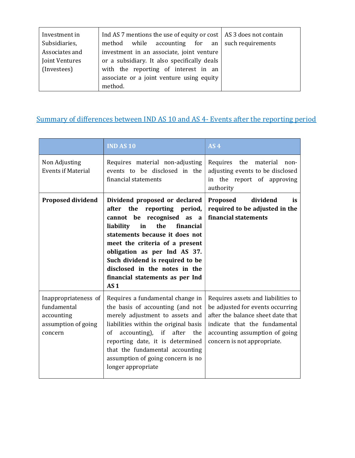| Investment in  | Ind AS 7 mentions the use of equity or cost $ $ AS 3 does not contain |  |
|----------------|-----------------------------------------------------------------------|--|
| Subsidiaries,  | while $\alpha$ accounting for an $\alpha$ such requirements<br>method |  |
| Associates and | investment in an associate, joint venture                             |  |
| Joint Ventures | or a subsidiary. It also specifically deals                           |  |
| (Investees)    | with the reporting of interest in an                                  |  |
|                | associate or a joint venture using equity                             |  |
|                | method.                                                               |  |

# Summary of differences between IND AS 10 and AS 4- Events after the reporting period

|                                                                                     | <b>IND AS 10</b>                                                                                                                                                                                                                                                                                                                                               | AS <sub>4</sub>                                                                                                                                                                                               |
|-------------------------------------------------------------------------------------|----------------------------------------------------------------------------------------------------------------------------------------------------------------------------------------------------------------------------------------------------------------------------------------------------------------------------------------------------------------|---------------------------------------------------------------------------------------------------------------------------------------------------------------------------------------------------------------|
| Non Adjusting<br><b>Events if Material</b>                                          | Requires material non-adjusting<br>events to be disclosed in the<br>financial statements                                                                                                                                                                                                                                                                       | Requires the<br>material<br>non-<br>adjusting events to be disclosed<br>in the report of approving<br>authority                                                                                               |
| <b>Proposed dividend</b>                                                            | Dividend proposed or declared<br>after the reporting period,<br>cannot be recognised as a<br>financial<br>liability<br>in<br>the<br>statements because it does not<br>meet the criteria of a present<br>obligation as per Ind AS 37.<br>Such dividend is required to be<br>disclosed in the notes in the<br>financial statements as per Ind<br>AS <sub>1</sub> | dividend<br>Proposed<br>is<br>required to be adjusted in the<br>financial statements                                                                                                                          |
| Inappropriateness of<br>fundamental<br>accounting<br>assumption of going<br>concern | Requires a fundamental change in<br>the basis of accounting (and not<br>merely adjustment to assets and<br>liabilities within the original basis<br>accounting), if after<br>the<br><sub>of</sub><br>reporting date, it is determined<br>that the fundamental accounting<br>assumption of going concern is no<br>longer appropriate                            | Requires assets and liabilities to<br>be adjusted for events occurring<br>after the balance sheet date that<br>indicate that the fundamental<br>accounting assumption of going<br>concern is not appropriate. |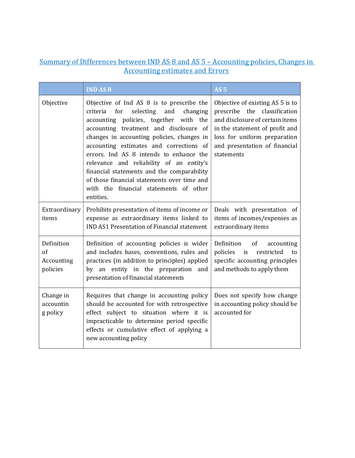#### Summary of Differences between IND AS 8 and AS 5 – Accounting policies, Changes in Accounting estimates and Errors

|                                            | <b>IND AS 8</b>                                                                                                                                                                                                                                                                                                                                                                                                                                                                                                      | AS <sub>5</sub>                                                                                                                                                                                                      |
|--------------------------------------------|----------------------------------------------------------------------------------------------------------------------------------------------------------------------------------------------------------------------------------------------------------------------------------------------------------------------------------------------------------------------------------------------------------------------------------------------------------------------------------------------------------------------|----------------------------------------------------------------------------------------------------------------------------------------------------------------------------------------------------------------------|
| Objective                                  | Objective of Ind AS 8 is to prescribe the<br>selecting<br>and<br>for<br>changing<br>criteria<br>accounting policies, together with the<br>accounting treatment and disclosure of<br>changes in accounting policies, changes in<br>accounting estimates and corrections of<br>errors. Ind AS 8 intends to enhance the<br>relevance and reliability of an entity's<br>financial statements and the comparability<br>of those financial statements over time and<br>with the financial statements of other<br>entities. | Objective of existing AS 5 is to<br>prescribe the classification<br>and disclosure of certain items<br>in the statement of profit and<br>loss for uniform preparation<br>and presentation of financial<br>statements |
| Extraordinary<br>items                     | Prohibits presentation of items of income or<br>expense as extraordinary items linked to<br><b>IND AS1 Presentation of Financial statement</b>                                                                                                                                                                                                                                                                                                                                                                       | Deals with presentation of<br>items of incomes/expenses as<br>extraordinary items                                                                                                                                    |
| Definition<br>of<br>Accounting<br>policies | Definition of accounting policies is wider<br>and includes bases, conventions, rules and<br>practices (in addition to principles) applied<br>by an entity in the preparation and<br>presentation of financial statements                                                                                                                                                                                                                                                                                             | Definition<br>of<br>accounting<br>policies is<br>restricted<br>to<br>specific accounting principles<br>and methods to apply them                                                                                     |
| Change in<br>accountin<br>g policy         | Requires that change in accounting policy<br>should be accounted for with retrospective<br>effect subject to situation where it is<br>impracticable to determine period specific<br>effects or cumulative effect of applying a<br>new accounting policy                                                                                                                                                                                                                                                              | Does not specify how change<br>in accounting policy should be<br>accounted for                                                                                                                                       |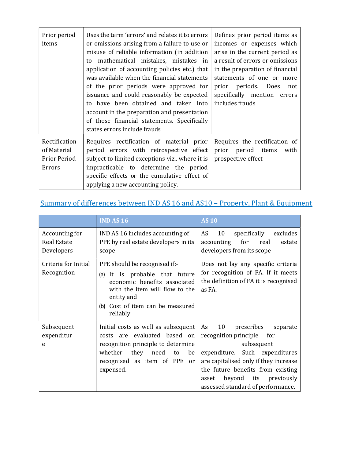| Prior period<br>items                                  | Uses the term 'errors' and relates it to errors<br>or omissions arising from a failure to use or<br>misuse of reliable information (in addition<br>mathematical mistakes, mistakes in<br>to<br>application of accounting policies etc.) that<br>was available when the financial statements<br>of the prior periods were approved for<br>issuance and could reasonably be expected<br>to have been obtained and taken into<br>account in the preparation and presentation<br>of those financial statements. Specifically<br>states errors include frauds | Defines prior period items as<br>incomes or expenses which<br>arise in the current period as<br>a result of errors or omissions<br>in the preparation of financial<br>statements of one or more<br>prior periods. Does<br>not<br>specifically mention errors<br>includes frauds |
|--------------------------------------------------------|----------------------------------------------------------------------------------------------------------------------------------------------------------------------------------------------------------------------------------------------------------------------------------------------------------------------------------------------------------------------------------------------------------------------------------------------------------------------------------------------------------------------------------------------------------|---------------------------------------------------------------------------------------------------------------------------------------------------------------------------------------------------------------------------------------------------------------------------------|
| Rectification<br>of Material<br>Prior Period<br>Errors | Requires rectification of material prior<br>period errors with retrospective effect<br>subject to limited exceptions viz., where it is<br>impracticable to determine the period<br>specific effects or the cumulative effect of<br>applying a new accounting policy.                                                                                                                                                                                                                                                                                     | Requires the rectification of<br>prior<br>period items<br>with<br>prospective effect                                                                                                                                                                                            |

# Summary of differences between IND AS 16 and AS10 – Property, Plant & Equipment

|                                                    | <b>IND AS 16</b>                                                                                                                                                                                               | <b>AS 10</b>                                                                                                                                                                                                                                                               |
|----------------------------------------------------|----------------------------------------------------------------------------------------------------------------------------------------------------------------------------------------------------------------|----------------------------------------------------------------------------------------------------------------------------------------------------------------------------------------------------------------------------------------------------------------------------|
| Accounting for<br><b>Real Estate</b><br>Developers | IND AS 16 includes accounting of<br>PPE by real estate developers in its<br>scope                                                                                                                              | AS<br>10<br>specifically<br>excludes<br>accounting<br>for<br>real<br>estate<br>developers from its scope                                                                                                                                                                   |
| Criteria for Initial<br>Recognition                | PPE should be recognised if:-<br>It is probable that future<br>(a)<br>economic benefits associated<br>with the item will flow to the<br>entity and<br>Cost of item can be measured<br>(b)<br>reliably          | Does not lay any specific criteria<br>for recognition of FA. If it meets<br>the definition of FA it is recognised<br>as FA.                                                                                                                                                |
| Subsequent<br>expenditur<br>e                      | Initial costs as well as subsequent<br>are evaluated based on<br>costs<br>recognition principle to determine<br>whether<br>they<br>need<br>be<br>to<br>recognised as item of PPE<br><sub>or</sub><br>expensed. | 10<br>As<br>prescribes<br>separate<br>recognition principle<br>for<br>subsequent<br>expenditure. Such expenditures<br>are capitalised only if they increase<br>the future benefits from existing<br>its previously<br>beyond<br>asset<br>assessed standard of performance. |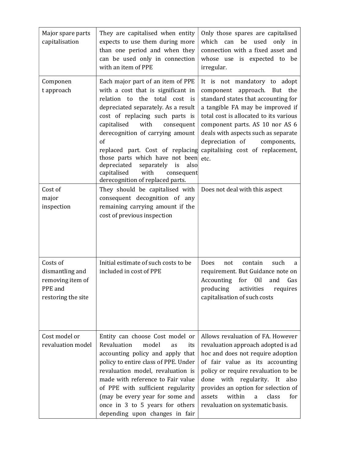| Major spare parts<br>capitalisation                                              | They are capitalised when entity<br>expects to use them during more<br>than one period and when they<br>can be used only in connection<br>with an item of PPE                                                                                                                                                                                                                                                                                                | Only those spares are capitalised<br>which<br>be<br>used<br>can<br>only in<br>connection with a fixed asset and<br>whose use is expected to be<br>irregular.                                                                                                                                                                                 |
|----------------------------------------------------------------------------------|--------------------------------------------------------------------------------------------------------------------------------------------------------------------------------------------------------------------------------------------------------------------------------------------------------------------------------------------------------------------------------------------------------------------------------------------------------------|----------------------------------------------------------------------------------------------------------------------------------------------------------------------------------------------------------------------------------------------------------------------------------------------------------------------------------------------|
| Componen<br>t approach                                                           | Each major part of an item of PPE<br>with a cost that is significant in<br>relation to the total cost is<br>depreciated separately. As a result<br>cost of replacing such parts is<br>capitalised<br>with<br>consequent<br>derecognition of carrying amount<br>of<br>replaced part. Cost of replacing<br>those parts which have not been<br>depreciated<br>is<br>also<br>separately<br>capitalised<br>with<br>consequent<br>derecognition of replaced parts. | It is not mandatory to adopt<br>component<br>approach. But the<br>standard states that accounting for<br>a tangible FA may be improved if<br>total cost is allocated to its various<br>component parts. AS 10 nor AS 6<br>deals with aspects such as separate<br>depreciation of<br>components,<br>capitalising cost of replacement,<br>etc. |
| Cost of<br>major<br>inspection                                                   | They should be capitalised with<br>consequent decognition of any<br>remaining carrying amount if the<br>cost of previous inspection                                                                                                                                                                                                                                                                                                                          | Does not deal with this aspect                                                                                                                                                                                                                                                                                                               |
| Costs of<br>dismantling and<br>removing item of<br>PPE and<br>restoring the site | Initial estimate of such costs to be<br>included in cost of PPE                                                                                                                                                                                                                                                                                                                                                                                              | such<br><b>Does</b><br>contain<br>not<br>a<br>requirement. But Guidance note on<br>for<br>0 <sub>il</sub><br>Accounting<br>and<br>Gas<br>producing<br>activities<br>requires<br>capitalisation of such costs                                                                                                                                 |
| Cost model or<br>revaluation model                                               | Entity can choose Cost model or<br>Revaluation<br>model<br>as<br>its<br>accounting policy and apply that<br>policy to entire class of PPE. Under<br>revaluation model, revaluation is<br>made with reference to Fair value<br>of PPE with sufficient regularity<br>(may be every year for some and<br>once in 3 to 5 years for others<br>depending upon changes in fair                                                                                      | Allows revaluation of FA. However<br>revaluation approach adopted is ad<br>hoc and does not require adoption<br>of fair value as its accounting<br>policy or require revaluation to be<br>done with regularity. It also<br>provides an option for selection of<br>within<br>class<br>for<br>assets<br>a<br>revaluation on systematic basis.  |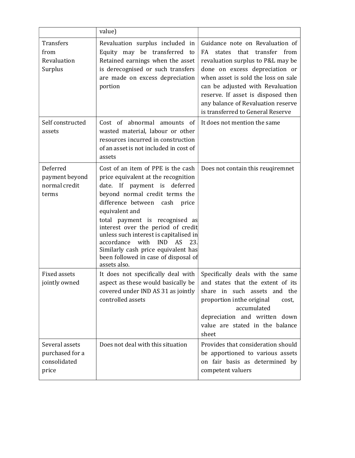|                                                            | value)                                                                                                                                                                                                                                                                                                                                                                                                                                                              |                                                                                                                                                                                                                                                                                                                                             |
|------------------------------------------------------------|---------------------------------------------------------------------------------------------------------------------------------------------------------------------------------------------------------------------------------------------------------------------------------------------------------------------------------------------------------------------------------------------------------------------------------------------------------------------|---------------------------------------------------------------------------------------------------------------------------------------------------------------------------------------------------------------------------------------------------------------------------------------------------------------------------------------------|
| <b>Transfers</b><br>from<br>Revaluation<br>Surplus         | Revaluation surplus included in<br>Equity may be transferred to<br>Retained earnings when the asset<br>is derecognised or such transfers<br>are made on excess depreciation<br>portion                                                                                                                                                                                                                                                                              | Guidance note on Revaluation of<br>transfer from<br>that<br>FA<br>states<br>revaluation surplus to P&L may be<br>done on excess depreciation or<br>when asset is sold the loss on sale<br>can be adjusted with Revaluation<br>reserve. If asset is disposed then<br>any balance of Revaluation reserve<br>is transferred to General Reserve |
| Self constructed<br>assets                                 | Cost of abnormal amounts of<br>wasted material, labour or other<br>resources incurred in construction<br>of an asset is not included in cost of<br>assets                                                                                                                                                                                                                                                                                                           | It does not mention the same                                                                                                                                                                                                                                                                                                                |
| Deferred<br>payment beyond<br>normal credit<br>terms       | Cost of an item of PPE is the cash<br>price equivalent at the recognition<br>date. If payment is deferred<br>beyond normal credit terms the<br>difference between<br>cash price<br>equivalent and<br>total payment is recognised as<br>interest over the period of credit<br>unless such interest is capitalised in<br><b>IND</b><br>accordance<br>with<br>AS<br>23.<br>Similarly cash price equivalent has<br>been followed in case of disposal of<br>assets also. | Does not contain this reugiremnet                                                                                                                                                                                                                                                                                                           |
| <b>Fixed assets</b><br>jointly owned                       | It does not specifically deal with<br>aspect as these would basically be<br>covered under IND AS 31 as jointly<br>controlled assets                                                                                                                                                                                                                                                                                                                                 | Specifically deals with the same<br>and states that the extent of its<br>share in such assets and the<br>proportion in the original<br>cost,<br>accumulated<br>depreciation and written down<br>value are stated in the balance<br>sheet                                                                                                    |
| Several assets<br>purchased for a<br>consolidated<br>price | Does not deal with this situation                                                                                                                                                                                                                                                                                                                                                                                                                                   | Provides that consideration should<br>be apportioned to various assets<br>on fair basis as determined by<br>competent valuers                                                                                                                                                                                                               |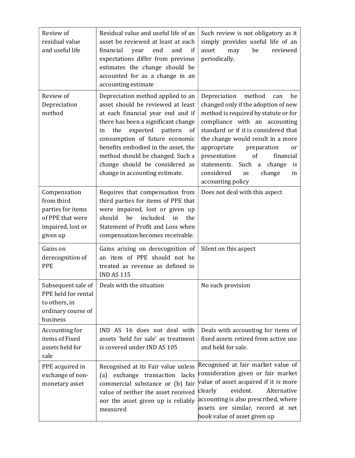| Review of<br>residual value<br>and useful life                                                       | Residual value and useful life of an<br>asset be reviewed at least at each<br>financial<br>end<br>year<br>and<br>if<br>expectations differ from previous<br>estimates the change should be<br>accounted for as a change in an<br>accounting estimate                                                                                                                          | Such review is not obligatory as it<br>simply provides useful life of an<br>be<br>reviewed<br>asset<br>may<br>periodically.                                                                                                                                                                                                                                                                            |
|------------------------------------------------------------------------------------------------------|-------------------------------------------------------------------------------------------------------------------------------------------------------------------------------------------------------------------------------------------------------------------------------------------------------------------------------------------------------------------------------|--------------------------------------------------------------------------------------------------------------------------------------------------------------------------------------------------------------------------------------------------------------------------------------------------------------------------------------------------------------------------------------------------------|
| Review of<br>Depreciation<br>method                                                                  | Depreciation method applied to an<br>asset should be reviewed at least<br>at each financial year end and if<br>there has been a significant change<br>expected<br>pattern<br>the<br>of<br>in<br>consumption of future economic<br>benefits embodied in the asset, the<br>method should be changed. Such a<br>change should be considered as<br>change in accounting estimate. | Depreciation<br>method<br>can<br>be<br>changed only if the adoption of new<br>method is required by statute or for<br>compliance with an accounting<br>standard or if it is considered that<br>the change would result in a more<br>appropriate<br>preparation<br>or<br>of<br>financial<br>presentation<br>Such a change<br>statements.<br>is<br>considered<br>change<br>as<br>in<br>accounting policy |
| Compensation<br>from third<br>parties for items<br>of PPE that were<br>impaired, lost or<br>given up | Requires that compensation from<br>third parties for items of PPE that<br>were impaired, lost or given up<br>should<br>be<br>included<br>in<br>the<br>Statement of Profit and Loss when<br>compensation becomes receivable.                                                                                                                                                   | Does not deal with this aspect                                                                                                                                                                                                                                                                                                                                                                         |
| Gains on<br>derecognition of<br><b>PPE</b>                                                           | Gains arising on derecognition of<br>an item of PPE should not be<br>treated as revenue as defined in<br><b>IND AS 115</b>                                                                                                                                                                                                                                                    | Silent on this aspect                                                                                                                                                                                                                                                                                                                                                                                  |
| PPE held for rental<br>to others, in<br>ordinary course of<br>business                               | Subsequent sale of $\vert$ Deals with the situation                                                                                                                                                                                                                                                                                                                           | No such provision                                                                                                                                                                                                                                                                                                                                                                                      |
| Accounting for<br>items of Fixed<br>assets held for<br>sale                                          | IND AS 16 does not deal with<br>assets 'held for sale' as treatment<br>is covered under IND AS 105                                                                                                                                                                                                                                                                            | Deals with accounting for items of<br>fixed assets retired from active use<br>and held for sale.                                                                                                                                                                                                                                                                                                       |
| PPE acquired in<br>exchange of non-<br>monetary asset                                                | Recognised at its Fair value unless<br>exchange transaction lacks<br>(a)<br>commercial substance or (b) fair<br>value of neither the asset received<br>nor the asset given up is reliably<br>measured                                                                                                                                                                         | Recognised at fair market value of<br>consideration given or fair market<br>value of asset acquired if it is more<br>evident.<br>Alternative<br>clearly<br>accounting is also prescribed, where<br>assets are similar, record at net<br>book value of asset given up                                                                                                                                   |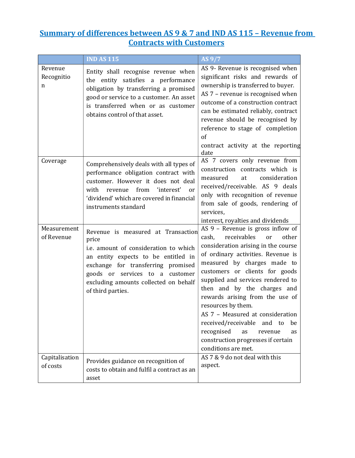#### Summary of differences between AS 9 & 7 and IND AS 115 - Revenue from Contracts with Customers

|                            | <b>IND AS 115</b>                                                                                                                                                                                                                                                  | AS 9/7                                                                                                                                                                                                                                                                                                                                                                                                                                                                                                                                            |
|----------------------------|--------------------------------------------------------------------------------------------------------------------------------------------------------------------------------------------------------------------------------------------------------------------|---------------------------------------------------------------------------------------------------------------------------------------------------------------------------------------------------------------------------------------------------------------------------------------------------------------------------------------------------------------------------------------------------------------------------------------------------------------------------------------------------------------------------------------------------|
| Revenue<br>Recognitio<br>n | Entity shall recognise revenue when<br>the entity satisfies a performance<br>obligation by transferring a promised<br>good or service to a customer. An asset<br>is transferred when or as customer<br>obtains control of that asset.                              | AS 9- Revenue is recognised when<br>significant risks and rewards of<br>ownership is transferred to buyer.<br>AS 7 - revenue is recognised when<br>outcome of a construction contract<br>can be estimated reliably, contract<br>revenue should be recognised by<br>reference to stage of completion<br>of<br>contract activity at the reporting<br>date                                                                                                                                                                                           |
| Coverage                   | Comprehensively deals with all types of<br>performance obligation contract with<br>customer. However it does not deal<br>from<br>'interest'<br>with<br>revenue<br><sub>or</sub><br>'dividend' which are covered in financial<br>instruments standard               | AS 7 covers only revenue from<br>construction contracts which is<br>measured<br>at<br>consideration<br>received/receivable. AS 9 deals<br>only with recognition of revenue<br>from sale of goods, rendering of<br>services,<br>interest, royalties and dividends                                                                                                                                                                                                                                                                                  |
| Measurement<br>of Revenue  | Revenue is measured at Transaction<br>price<br>i.e. amount of consideration to which<br>an entity expects to be entitled in<br>exchange for transferring promised<br>goods or services to a customer<br>excluding amounts collected on behalf<br>of third parties. | AS 9 - Revenue is gross inflow of<br>receivables<br>other<br>cash,<br><b>or</b><br>consideration arising in the course<br>of ordinary activities. Revenue is<br>measured by charges made to<br>customers or clients for goods<br>supplied and services rendered to<br>then and by the charges and<br>rewards arising from the use of<br>resources by them.<br>AS 7 - Measured at consideration<br>received/receivable<br>and<br>be<br>to<br>recognised<br>as<br>revenue<br><b>as</b><br>construction progresses if certain<br>conditions are met. |
| Capitalisation<br>of costs | Provides guidance on recognition of<br>costs to obtain and fulfil a contract as an<br>asset                                                                                                                                                                        | AS 7 & 9 do not deal with this<br>aspect.                                                                                                                                                                                                                                                                                                                                                                                                                                                                                                         |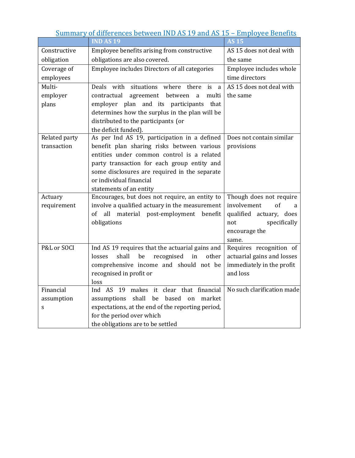| <b>IND AS 19</b><br><b>AS 15</b><br>Employee benefits arising from constructive<br>AS 15 does not deal with<br>Constructive<br>obligations are also covered.<br>obligation<br>the same<br>Employee includes Directors of all categories<br>Coverage of<br>Employee includes whole<br>time directors<br>employees<br>Multi-<br>Deals with situations where<br>AS 15 does not deal with<br>there<br>is<br>a<br>employer<br>contractual<br>agreement between<br>multi<br>the same<br>a<br>plans<br>employer plan and its participants<br>that<br>determines how the surplus in the plan will be<br>distributed to the participants (or<br>the deficit funded).<br>As per Ind AS 19, participation in a defined<br>Related party<br>Does not contain similar<br>transaction<br>benefit plan sharing risks between various<br>provisions<br>entities under common control is a related<br>party transaction for each group entity and<br>some disclosures are required in the separate<br>or individual financial<br>statements of an entity<br>Encourages, but does not require, an entity to<br>Though does not require<br>Actuary | Summary of differences between IND AS 19 and AS 15 - Employee Benefits |                                                |                        |  |
|---------------------------------------------------------------------------------------------------------------------------------------------------------------------------------------------------------------------------------------------------------------------------------------------------------------------------------------------------------------------------------------------------------------------------------------------------------------------------------------------------------------------------------------------------------------------------------------------------------------------------------------------------------------------------------------------------------------------------------------------------------------------------------------------------------------------------------------------------------------------------------------------------------------------------------------------------------------------------------------------------------------------------------------------------------------------------------------------------------------------------------|------------------------------------------------------------------------|------------------------------------------------|------------------------|--|
|                                                                                                                                                                                                                                                                                                                                                                                                                                                                                                                                                                                                                                                                                                                                                                                                                                                                                                                                                                                                                                                                                                                                 |                                                                        |                                                |                        |  |
|                                                                                                                                                                                                                                                                                                                                                                                                                                                                                                                                                                                                                                                                                                                                                                                                                                                                                                                                                                                                                                                                                                                                 |                                                                        |                                                |                        |  |
|                                                                                                                                                                                                                                                                                                                                                                                                                                                                                                                                                                                                                                                                                                                                                                                                                                                                                                                                                                                                                                                                                                                                 |                                                                        |                                                |                        |  |
|                                                                                                                                                                                                                                                                                                                                                                                                                                                                                                                                                                                                                                                                                                                                                                                                                                                                                                                                                                                                                                                                                                                                 |                                                                        |                                                |                        |  |
|                                                                                                                                                                                                                                                                                                                                                                                                                                                                                                                                                                                                                                                                                                                                                                                                                                                                                                                                                                                                                                                                                                                                 |                                                                        |                                                |                        |  |
|                                                                                                                                                                                                                                                                                                                                                                                                                                                                                                                                                                                                                                                                                                                                                                                                                                                                                                                                                                                                                                                                                                                                 |                                                                        |                                                |                        |  |
|                                                                                                                                                                                                                                                                                                                                                                                                                                                                                                                                                                                                                                                                                                                                                                                                                                                                                                                                                                                                                                                                                                                                 |                                                                        |                                                |                        |  |
|                                                                                                                                                                                                                                                                                                                                                                                                                                                                                                                                                                                                                                                                                                                                                                                                                                                                                                                                                                                                                                                                                                                                 |                                                                        |                                                |                        |  |
|                                                                                                                                                                                                                                                                                                                                                                                                                                                                                                                                                                                                                                                                                                                                                                                                                                                                                                                                                                                                                                                                                                                                 |                                                                        |                                                |                        |  |
|                                                                                                                                                                                                                                                                                                                                                                                                                                                                                                                                                                                                                                                                                                                                                                                                                                                                                                                                                                                                                                                                                                                                 |                                                                        |                                                |                        |  |
|                                                                                                                                                                                                                                                                                                                                                                                                                                                                                                                                                                                                                                                                                                                                                                                                                                                                                                                                                                                                                                                                                                                                 |                                                                        |                                                |                        |  |
|                                                                                                                                                                                                                                                                                                                                                                                                                                                                                                                                                                                                                                                                                                                                                                                                                                                                                                                                                                                                                                                                                                                                 |                                                                        |                                                |                        |  |
|                                                                                                                                                                                                                                                                                                                                                                                                                                                                                                                                                                                                                                                                                                                                                                                                                                                                                                                                                                                                                                                                                                                                 |                                                                        |                                                |                        |  |
|                                                                                                                                                                                                                                                                                                                                                                                                                                                                                                                                                                                                                                                                                                                                                                                                                                                                                                                                                                                                                                                                                                                                 |                                                                        |                                                |                        |  |
|                                                                                                                                                                                                                                                                                                                                                                                                                                                                                                                                                                                                                                                                                                                                                                                                                                                                                                                                                                                                                                                                                                                                 |                                                                        |                                                |                        |  |
|                                                                                                                                                                                                                                                                                                                                                                                                                                                                                                                                                                                                                                                                                                                                                                                                                                                                                                                                                                                                                                                                                                                                 |                                                                        |                                                |                        |  |
|                                                                                                                                                                                                                                                                                                                                                                                                                                                                                                                                                                                                                                                                                                                                                                                                                                                                                                                                                                                                                                                                                                                                 |                                                                        |                                                |                        |  |
|                                                                                                                                                                                                                                                                                                                                                                                                                                                                                                                                                                                                                                                                                                                                                                                                                                                                                                                                                                                                                                                                                                                                 |                                                                        |                                                |                        |  |
|                                                                                                                                                                                                                                                                                                                                                                                                                                                                                                                                                                                                                                                                                                                                                                                                                                                                                                                                                                                                                                                                                                                                 |                                                                        |                                                |                        |  |
|                                                                                                                                                                                                                                                                                                                                                                                                                                                                                                                                                                                                                                                                                                                                                                                                                                                                                                                                                                                                                                                                                                                                 | requirement                                                            | involve a qualified actuary in the measurement | involvement<br>of<br>a |  |
| of all material post-employment<br>qualified actuary, does<br>benefit                                                                                                                                                                                                                                                                                                                                                                                                                                                                                                                                                                                                                                                                                                                                                                                                                                                                                                                                                                                                                                                           |                                                                        |                                                |                        |  |
| obligations<br>specifically<br>not                                                                                                                                                                                                                                                                                                                                                                                                                                                                                                                                                                                                                                                                                                                                                                                                                                                                                                                                                                                                                                                                                              |                                                                        |                                                |                        |  |
| encourage the                                                                                                                                                                                                                                                                                                                                                                                                                                                                                                                                                                                                                                                                                                                                                                                                                                                                                                                                                                                                                                                                                                                   |                                                                        |                                                |                        |  |
| same.                                                                                                                                                                                                                                                                                                                                                                                                                                                                                                                                                                                                                                                                                                                                                                                                                                                                                                                                                                                                                                                                                                                           |                                                                        |                                                |                        |  |
| P&L or SOCI<br>Requires recognition of<br>Ind AS 19 requires that the actuarial gains and                                                                                                                                                                                                                                                                                                                                                                                                                                                                                                                                                                                                                                                                                                                                                                                                                                                                                                                                                                                                                                       |                                                                        |                                                |                        |  |
| shall<br>actuarial gains and losses<br>losses<br>be<br>recognised<br>in<br>other                                                                                                                                                                                                                                                                                                                                                                                                                                                                                                                                                                                                                                                                                                                                                                                                                                                                                                                                                                                                                                                |                                                                        |                                                |                        |  |
| comprehensive income and should not be<br>immediately in the profit                                                                                                                                                                                                                                                                                                                                                                                                                                                                                                                                                                                                                                                                                                                                                                                                                                                                                                                                                                                                                                                             |                                                                        |                                                |                        |  |
| recognised in profit or<br>and loss                                                                                                                                                                                                                                                                                                                                                                                                                                                                                                                                                                                                                                                                                                                                                                                                                                                                                                                                                                                                                                                                                             |                                                                        |                                                |                        |  |
| loss<br>Financial<br>Ind AS 19 makes it clear that financial<br>No such clarification made                                                                                                                                                                                                                                                                                                                                                                                                                                                                                                                                                                                                                                                                                                                                                                                                                                                                                                                                                                                                                                      |                                                                        |                                                |                        |  |
|                                                                                                                                                                                                                                                                                                                                                                                                                                                                                                                                                                                                                                                                                                                                                                                                                                                                                                                                                                                                                                                                                                                                 |                                                                        |                                                |                        |  |
| assumption<br>shall<br>be<br>based<br>assumptions<br>market<br>on<br>expectations, at the end of the reporting period,                                                                                                                                                                                                                                                                                                                                                                                                                                                                                                                                                                                                                                                                                                                                                                                                                                                                                                                                                                                                          |                                                                        |                                                |                        |  |
| S<br>for the period over which                                                                                                                                                                                                                                                                                                                                                                                                                                                                                                                                                                                                                                                                                                                                                                                                                                                                                                                                                                                                                                                                                                  |                                                                        |                                                |                        |  |
| the obligations are to be settled                                                                                                                                                                                                                                                                                                                                                                                                                                                                                                                                                                                                                                                                                                                                                                                                                                                                                                                                                                                                                                                                                               |                                                                        |                                                |                        |  |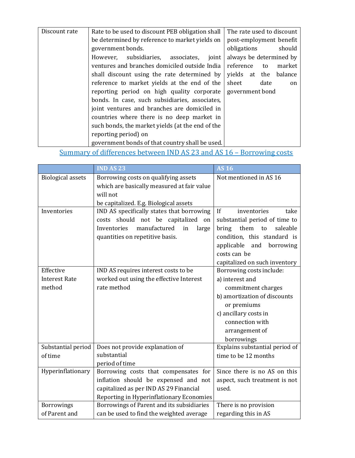| Discount rate | Rate to be used to discount PEB obligation shall | The rate used to discount |
|---------------|--------------------------------------------------|---------------------------|
|               | be determined by reference to market yields on   | post-employment benefit   |
|               | government bonds.                                | obligations<br>should     |
|               | However, subsidiaries, associates,<br>joint      | always be determined by   |
|               | ventures and branches domiciled outside India    | reference<br>market<br>to |
|               | shall discount using the rate determined by      | yields at the<br>balance  |
|               | reference to market yields at the end of the     | sheet<br>date<br>on       |
|               | reporting period on high quality corporate       | government bond           |
|               | bonds. In case, such subsidiaries, associates,   |                           |
|               | joint ventures and branches are domiciled in     |                           |
|               | countries where there is no deep market in       |                           |
|               | such bonds, the market yields (at the end of the |                           |
|               | reporting period) on                             |                           |
|               | government bonds of that country shall be used.  |                           |

# Summary of differences between IND AS 23 and AS 16 – Borrowing costs

|                          | <b>IND AS 23</b>                           | $\overline{AS16}$               |
|--------------------------|--------------------------------------------|---------------------------------|
| <b>Biological assets</b> | Borrowing costs on qualifying assets       | Not mentioned in AS 16          |
|                          | which are basically measured at fair value |                                 |
|                          | will not                                   |                                 |
|                          | be capitalized. E.g. Biological assets     |                                 |
| Inventories              | IND AS specifically states that borrowing  | If<br>inventories<br>take       |
|                          | costs should not be capitalized on         | substantial period of time to   |
|                          | Inventories<br>manufactured<br>in<br>large | them<br>bring<br>saleable<br>to |
|                          | quantities on repetitive basis.            | condition, this standard is     |
|                          |                                            | applicable<br>and<br>borrowing  |
|                          |                                            | costs can be                    |
|                          |                                            | capitalized on such inventory   |
| Effective                | IND AS requires interest costs to be       | Borrowing costs include:        |
| <b>Interest Rate</b>     | worked out using the effective Interest    | a) interest and                 |
| method                   | rate method                                | commitment charges              |
|                          |                                            | b) amortization of discounts    |
|                          |                                            | or premiums                     |
|                          |                                            | c) ancillary costs in           |
|                          |                                            | connection with                 |
|                          |                                            | arrangement of                  |
|                          |                                            | borrowings                      |
| Substantial period       | Does not provide explanation of            | Explains substantial period of  |
| of time                  | substantial                                | time to be 12 months            |
|                          | period of time                             |                                 |
| Hyperinflationary        | Borrowing costs that compensates for       | Since there is no AS on this    |
|                          | inflation should be expensed and not       | aspect, such treatment is not   |
|                          | capitalized as per IND AS 29 Financial     | used.                           |
|                          | Reporting in Hyperinflationary Economies   |                                 |
| <b>Borrowings</b>        | Borrowings of Parent and its subsidiaries  | There is no provision           |
| of Parent and            | can be used to find the weighted average   | regarding this in AS            |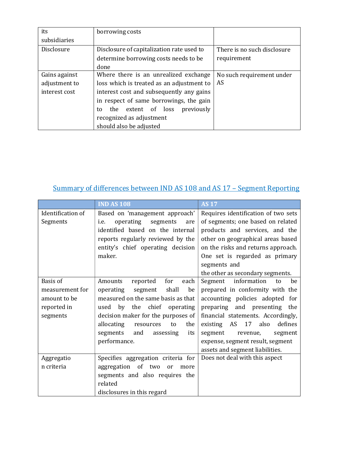| its           | borrowing costs                           |                             |
|---------------|-------------------------------------------|-----------------------------|
| subsidiaries  |                                           |                             |
| Disclosure    | Disclosure of capitalization rate used to | There is no such disclosure |
|               | determine borrowing costs needs to be     | requirement                 |
|               | done                                      |                             |
| Gains against | Where there is an unrealized exchange     | No such requirement under   |
| adjustment to | loss which is treated as an adjustment to | AS                          |
| interest cost | interest cost and subsequently any gains  |                             |
|               | in respect of same borrowings, the gain   |                             |
|               | previously<br>the extent of loss<br>to    |                             |
|               | recognized as adjustment                  |                             |
|               | should also be adjusted                   |                             |

# Summary of differences between IND AS 108 and AS 17 – Segment Reporting

|                   | <b>IND AS 108</b>                    | <b>AS 17</b>                            |
|-------------------|--------------------------------------|-----------------------------------------|
| Identification of | Based on 'management approach'       | Requires identification of two sets     |
| Segments          | operating<br>segments<br>i.e.<br>are | of segments; one based on related       |
|                   | identified based on the internal     | products and services, and the          |
|                   | reports regularly reviewed by the    | other on geographical areas based       |
|                   | entity's chief operating decision    | on the risks and returns approach.      |
|                   | maker.                               | One set is regarded as primary          |
|                   |                                      | segments and                            |
|                   |                                      | the other as secondary segments.        |
| <b>Basis</b> of   | for<br>each<br>Amounts<br>reported   | information<br>be<br>Segment<br>to      |
| measurement for   | shall<br>be<br>operating<br>segment  | prepared in conformity with the         |
| amount to be      | measured on the same basis as that   | accounting policies adopted for         |
| reported in       | by the chief operating<br>used       | preparing and presenting the            |
| segments          | decision maker for the purposes of   | financial statements. Accordingly,      |
|                   | allocating<br>the<br>resources<br>to | 17<br>also<br>defines<br>AS<br>existing |
|                   | segments<br>assessing<br>and<br>its  | segment<br>segment<br>revenue,          |
|                   | performance.                         | expense, segment result, segment        |
|                   |                                      | assets and segment liabilities.         |
| Aggregatio        | Specifies aggregation criteria for   | Does not deal with this aspect          |
| n criteria        | aggregation of two<br>or<br>more     |                                         |
|                   | segments and also requires the       |                                         |
|                   | related                              |                                         |
|                   | disclosures in this regard           |                                         |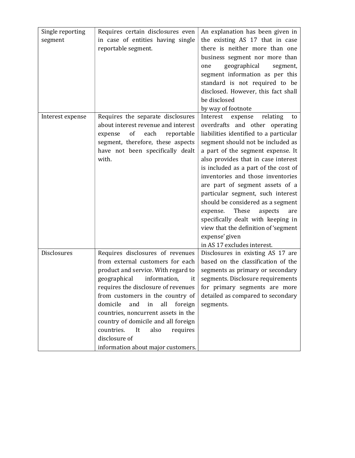| Single reporting | Requires certain disclosures even       | An explanation has been given in       |
|------------------|-----------------------------------------|----------------------------------------|
| segment          | in case of entities having single       | the existing AS 17 that in case        |
|                  | reportable segment.                     | there is neither more than one         |
|                  |                                         | business segment nor more than         |
|                  |                                         | geographical<br>one<br>segment,        |
|                  |                                         | segment information as per this        |
|                  |                                         | standard is not required to be         |
|                  |                                         | disclosed. However, this fact shall    |
|                  |                                         | be disclosed                           |
|                  |                                         | by way of footnote                     |
| Interest expense | Requires the separate disclosures       | Interest<br>relating<br>expense<br>to  |
|                  | about interest revenue and interest     | overdrafts and other operating         |
|                  | of<br>each<br>reportable<br>expense     | liabilities identified to a particular |
|                  | segment, therefore, these aspects       | segment should not be included as      |
|                  | have not been specifically dealt        | a part of the segment expense. It      |
|                  | with.                                   | also provides that in case interest    |
|                  |                                         | is included as a part of the cost of   |
|                  |                                         | inventories and those inventories      |
|                  |                                         | are part of segment assets of a        |
|                  |                                         | particular segment, such interest      |
|                  |                                         | should be considered as a segment      |
|                  |                                         | These<br>expense.<br>aspects<br>are    |
|                  |                                         | specifically dealt with keeping in     |
|                  |                                         | view that the definition of 'segment   |
|                  |                                         | expense' given                         |
|                  |                                         | in AS 17 excludes interest.            |
| Disclosures      | Requires disclosures of revenues        | Disclosures in existing AS 17 are      |
|                  | from external customers for each        | based on the classification of the     |
|                  | product and service. With regard to     | segments as primary or secondary       |
|                  | information,<br>geographical<br>it      | segments. Disclosure requirements      |
|                  | requires the disclosure of revenues     | for primary segments are more          |
|                  | from customers in the country of        | detailed as compared to secondary      |
|                  | domicile<br>and<br>all<br>in<br>foreign | segments.                              |
|                  | countries, noncurrent assets in the     |                                        |
|                  | country of domicile and all foreign     |                                        |
|                  | countries.<br>It<br>also<br>requires    |                                        |
|                  | disclosure of                           |                                        |
|                  | information about major customers.      |                                        |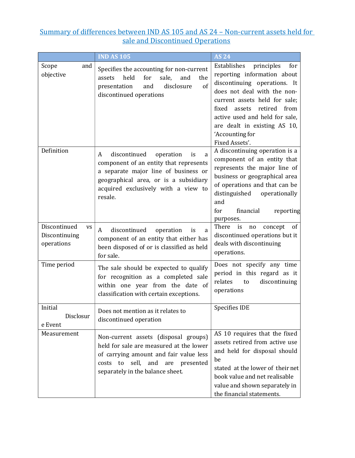#### Summary of differences between IND AS 105 and AS 24 – Non-current assets held for sale and Discontinued Operations

|                                                          | <b>IND AS 105</b>                                                                                                                                                                                                      | <b>AS 24</b>                                                                                                                                                                                                                                                                                              |
|----------------------------------------------------------|------------------------------------------------------------------------------------------------------------------------------------------------------------------------------------------------------------------------|-----------------------------------------------------------------------------------------------------------------------------------------------------------------------------------------------------------------------------------------------------------------------------------------------------------|
| Scope<br>and<br>objective                                | Specifies the accounting for non-current<br>held<br>for<br>sale,<br>and<br>assets<br>the<br>disclosure<br>presentation<br>of<br>and<br>discontinued operations                                                         | Establishes<br>principles<br>for<br>reporting information about<br>discontinuing operations. It<br>does not deal with the non-<br>current assets held for sale;<br>fixed<br>assets retired<br>from<br>active used and held for sale,<br>are dealt in existing AS 10,<br>'Accounting for<br>Fixed Assets'. |
| Definition                                               | discontinued<br>operation<br>A<br>is<br>a<br>component of an entity that represents<br>a separate major line of business or<br>geographical area, or is a subsidiary<br>acquired exclusively with a view to<br>resale. | A discontinuing operation is a<br>component of an entity that<br>represents the major line of<br>business or geographical area<br>of operations and that can be<br>distinguished<br>operationally<br>and<br>for<br>financial<br>reporting<br>purposes.                                                    |
| Discontinued<br><b>VS</b><br>Discontinuing<br>operations | discontinued<br>operation<br>A<br>is<br>a<br>component of an entity that either has<br>been disposed of or is classified as held<br>for sale.                                                                          | There<br>is<br>concept<br>of<br>no<br>discontinued operations but it<br>deals with discontinuing<br>operations.                                                                                                                                                                                           |
| Time period                                              | The sale should be expected to qualify<br>for recognition as a completed sale<br>within one year from the date of<br>classification with certain exceptions.                                                           | Does not specify any time<br>period in this regard as it<br>discontinuing<br>relates<br>to<br>operations                                                                                                                                                                                                  |
| Initial<br>Disclosur<br>e Event                          | Does not mention as it relates to<br>discontinued operation                                                                                                                                                            | <b>Specifies IDE</b>                                                                                                                                                                                                                                                                                      |
| Measurement                                              | Non-current assets (disposal groups)<br>held for sale are measured at the lower<br>of carrying amount and fair value less<br>costs to sell, and are presented<br>separately in the balance sheet.                      | AS 10 requires that the fixed<br>assets retired from active use<br>and held for disposal should<br>be<br>stated at the lower of their net<br>book value and net realisable<br>value and shown separately in<br>the financial statements.                                                                  |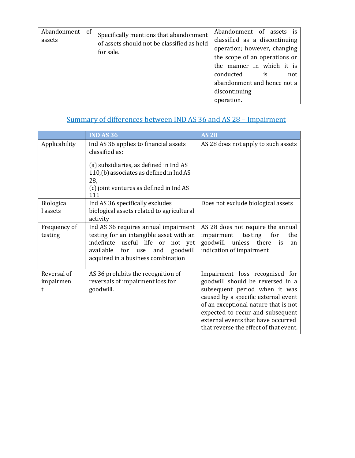| Abandonment<br>assets | of | Specifically mentions that abandonment<br>of assets should not be classified as held<br>for sale. | Abandonment of assets is<br>classified as a discontinuing<br>operation; however, changing<br>the scope of an operations or<br>the manner in which it is<br>conducted<br><i>is</i><br>not<br>abandonment and hence not a<br>discontinuing<br>operation. |
|-----------------------|----|---------------------------------------------------------------------------------------------------|--------------------------------------------------------------------------------------------------------------------------------------------------------------------------------------------------------------------------------------------------------|
|-----------------------|----|---------------------------------------------------------------------------------------------------|--------------------------------------------------------------------------------------------------------------------------------------------------------------------------------------------------------------------------------------------------------|

# Summary of differences between IND AS 36 and AS 28 – Impairment

|                               | <b>IND AS 36</b>                                                                                                                                                                                         | <b>AS 28</b>                                                                                                                                                                                                                                                                                           |
|-------------------------------|----------------------------------------------------------------------------------------------------------------------------------------------------------------------------------------------------------|--------------------------------------------------------------------------------------------------------------------------------------------------------------------------------------------------------------------------------------------------------------------------------------------------------|
| Applicability                 | Ind AS 36 applies to financial assets<br>classified as:<br>(a) subsidiaries, as defined in Ind AS<br>110,(b) associates as defined in Ind AS<br>28,<br>(c) joint ventures as defined in Ind AS<br>111    | AS 28 does not apply to such assets                                                                                                                                                                                                                                                                    |
| <b>Biologica</b><br>l assets  | Ind AS 36 specifically excludes<br>biological assets related to agricultural<br>activity                                                                                                                 | Does not exclude biological assets                                                                                                                                                                                                                                                                     |
| Frequency of<br>testing       | Ind AS 36 requires annual impairment<br>testing for an intangible asset with an<br>indefinite useful life or<br>not yet<br>available<br>for use<br>goodwill<br>and<br>acquired in a business combination | AS 28 does not require the annual<br>impairment<br>testing<br>for<br>the<br>unless there<br>goodwill<br>is<br>an<br>indication of impairment                                                                                                                                                           |
| Reversal of<br>impairmen<br>t | AS 36 prohibits the recognition of<br>reversals of impairment loss for<br>goodwill.                                                                                                                      | Impairment loss recognised for<br>goodwill should be reversed in a<br>subsequent period when it was<br>caused by a specific external event<br>of an exceptional nature that is not<br>expected to recur and subsequent<br>external events that have occurred<br>that reverse the effect of that event. |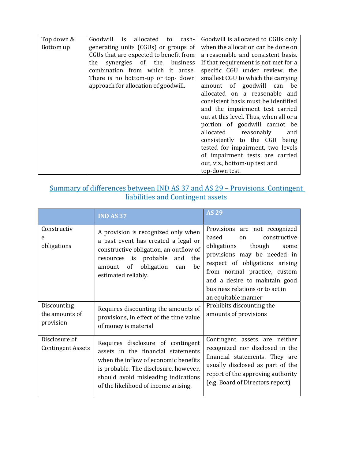| Top down & | Goodwill<br>allocated<br>cash-<br>is<br>to | Goodwill is allocated to CGUs only     |
|------------|--------------------------------------------|----------------------------------------|
| Bottom up  | generating units (CGUs) or groups of       | when the allocation can be done on     |
|            | CGUs that are expected to benefit from     | a reasonable and consistent basis.     |
|            | synergies of the<br>the<br>business        | If that requirement is not met for a   |
|            | combination from which it arose.           | specific CGU under review, the         |
|            | There is no bottom-up or top- down         | smallest CGU to which the carrying     |
|            | approach for allocation of goodwill.       | amount of goodwill can<br>be           |
|            |                                            | allocated on a reasonable and          |
|            |                                            | consistent basis must be identified    |
|            |                                            | and the impairment test carried        |
|            |                                            | out at this level. Thus, when all or a |
|            |                                            | portion of goodwill cannot be          |
|            |                                            | allocated reasonably<br>and            |
|            |                                            | consistently to the CGU<br>being       |
|            |                                            | tested for impairment, two levels      |
|            |                                            | of impairment tests are carried        |
|            |                                            | out, viz., bottom-up test and          |
|            |                                            | top-down test.                         |

#### Summary of differences between IND AS 37 and AS 29 – Provisions, Contingent liabilities and Contingent assets

|                                            | <b>IND AS 37</b>                                                                                                                                                                                                                        | <b>AS 29</b>                                                                                                                                                                                                                                                                              |
|--------------------------------------------|-----------------------------------------------------------------------------------------------------------------------------------------------------------------------------------------------------------------------------------------|-------------------------------------------------------------------------------------------------------------------------------------------------------------------------------------------------------------------------------------------------------------------------------------------|
| Constructiv<br>e<br>obligations            | A provision is recognized only when<br>a past event has created a legal or<br>constructive obligation, an outflow of<br>resources is probable<br>and<br>the<br>amount of obligation<br>be<br>can<br>estimated reliably.                 | Provisions are not recognized<br>based<br>constructive<br>on<br>obligations<br>though<br>some<br>provisions may be needed in<br>respect of obligations arising<br>from normal practice, custom<br>and a desire to maintain good<br>business relations or to act in<br>an equitable manner |
| Discounting<br>the amounts of<br>provision | Requires discounting the amounts of<br>provisions, in effect of the time value<br>of money is material                                                                                                                                  | Prohibits discounting the<br>amounts of provisions                                                                                                                                                                                                                                        |
| Disclosure of<br><b>Contingent Assets</b>  | Requires disclosure of contingent<br>assets in the financial statements<br>when the inflow of economic benefits<br>is probable. The disclosure, however,<br>should avoid misleading indications<br>of the likelihood of income arising. | Contingent assets are neither<br>recognized nor disclosed in the<br>financial statements. They are<br>usually disclosed as part of the<br>report of the approving authority<br>(e.g. Board of Directors report)                                                                           |